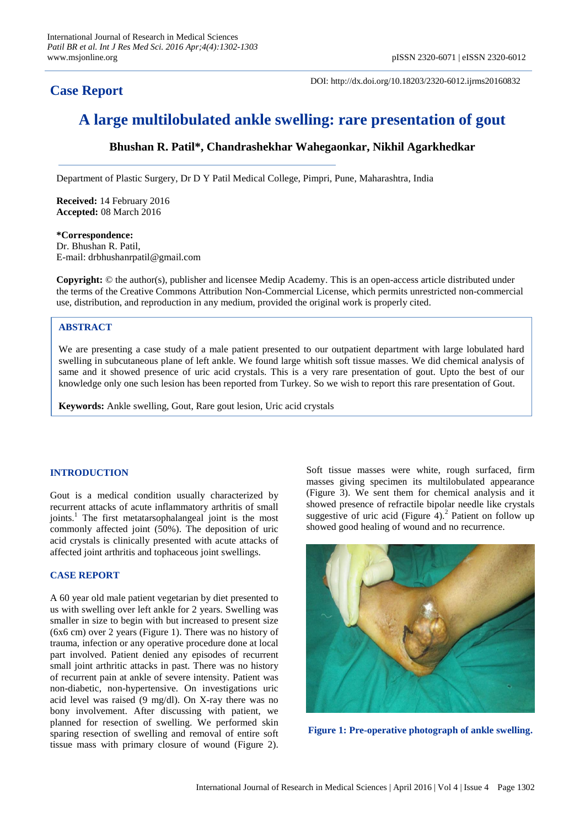# **Case Report**

DOI: http://dx.doi.org/10.18203/2320-6012.ijrms20160832

# **A large multilobulated ankle swelling: rare presentation of gout**

# **Bhushan R. Patil\*, Chandrashekhar Wahegaonkar, Nikhil Agarkhedkar**

Department of Plastic Surgery, Dr D Y Patil Medical College, Pimpri, Pune, Maharashtra, India

**Received:** 14 February 2016 **Accepted:** 08 March 2016

**\*Correspondence:** Dr. Bhushan R. Patil, E-mail: drbhushanrpatil@gmail.com

**Copyright:** © the author(s), publisher and licensee Medip Academy. This is an open-access article distributed under the terms of the Creative Commons Attribution Non-Commercial License, which permits unrestricted non-commercial use, distribution, and reproduction in any medium, provided the original work is properly cited.

### **ABSTRACT**

We are presenting a case study of a male patient presented to our outpatient department with large lobulated hard swelling in subcutaneous plane of left ankle. We found large whitish soft tissue masses. We did chemical analysis of same and it showed presence of uric acid crystals. This is a very rare presentation of gout. Upto the best of our knowledge only one such lesion has been reported from Turkey. So we wish to report this rare presentation of Gout.

**Keywords:** Ankle swelling, Gout, Rare gout lesion, Uric acid crystals

### **INTRODUCTION**

Gout is a medical condition usually characterized by recurrent attacks of acute inflammatory arthritis of small joints.<sup>1</sup> The first metatarsophalangeal joint is the most commonly affected joint (50%). The deposition of uric acid crystals is clinically presented with acute attacks of affected joint arthritis and tophaceous joint swellings.

## **CASE REPORT**

A 60 year old male patient vegetarian by diet presented to us with swelling over left ankle for 2 years. Swelling was smaller in size to begin with but increased to present size (6x6 cm) over 2 years (Figure 1). There was no history of trauma, infection or any operative procedure done at local part involved. Patient denied any episodes of recurrent small joint arthritic attacks in past. There was no history of recurrent pain at ankle of severe intensity. Patient was non-diabetic, non-hypertensive. On investigations uric acid level was raised (9 mg/dl). On X-ray there was no bony involvement. After discussing with patient, we planned for resection of swelling. We performed skin sparing resection of swelling and removal of entire soft tissue mass with primary closure of wound (Figure 2). Soft tissue masses were white, rough surfaced, firm masses giving specimen its multilobulated appearance (Figure 3). We sent them for chemical analysis and it showed presence of refractile bipolar needle like crystals suggestive of uric acid (Figure 4).<sup>2</sup> Patient on follow up showed good healing of wound and no recurrence.



**Figure 1: Pre-operative photograph of ankle swelling.**